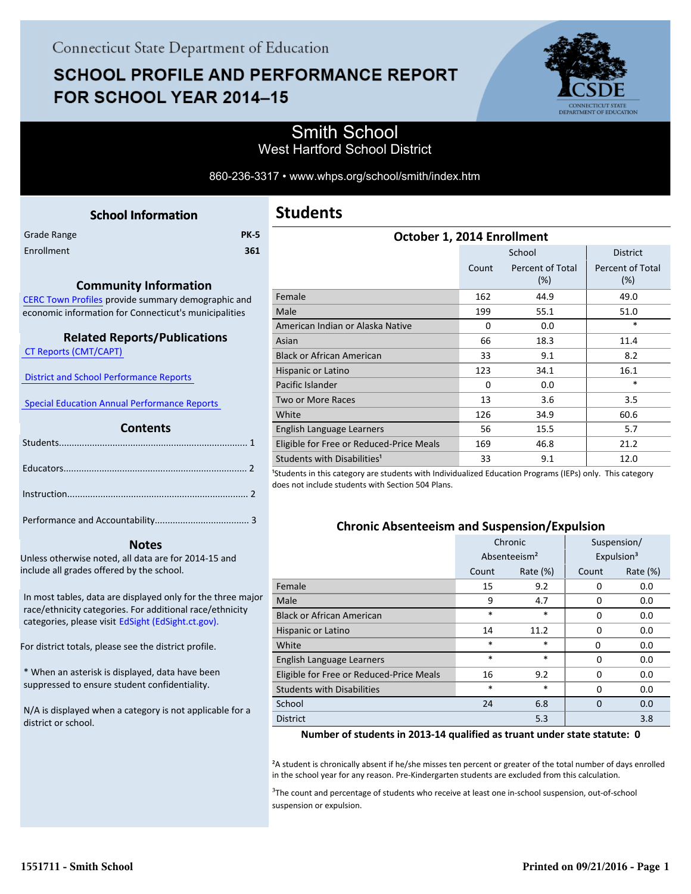# **SCHOOL PROFILE AND PERFORMANCE REPORT** FOR SCHOOL YEAR 2014-15



## Smith School West Hartford School District

#### 860-236-3317 • www.whps.org/school/smith/index.htm

<span id="page-0-0"></span>

|             | <b>School Information</b> |             |
|-------------|---------------------------|-------------|
| Grade Range |                           | <b>PK-5</b> |
| Enrollment  |                           | 361         |
|             |                           |             |

#### **Community Information**

[CERC Town Profiles provide summary demographic and](http://www.cerc.com/townprofiles/) economic information for Connecticut's municipalities

### **Related Reports/Publications**

 [CT Reports \(CMT/CAPT\)](http://ctreports.com/) 

 [District and School Performance Reports](http://www.csde.state.ct.us/public/performancereports/reports.asp) 

 [Special Education Annual Performance Reports](http://edsight.ct.gov/SASPortal/main.do) 

#### **Contents**

 **Notes**

Unless otherwise noted, all data are for 2014-15 and include all grades offered by the school.

[In most tables, data are displayed only for the three major](http://edsight.ct.gov) race/ethnicity categories. For additional race/ethnicity categories, please visit EdSight (EdSight.ct.gov).

For district totals, please see the district profile.

\* When an asterisk is displayed, data have been suppressed to ensure student confidentiality.

N/A is displayed when a category is not applicable for a district or school.

| October 1, 2014 Enrollment               |          |                         |                         |  |  |  |
|------------------------------------------|----------|-------------------------|-------------------------|--|--|--|
|                                          |          | School                  | <b>District</b>         |  |  |  |
|                                          | Count    | Percent of Total<br>(%) | Percent of Total<br>(%) |  |  |  |
| Female                                   | 162      | 44.9                    | 49.0                    |  |  |  |
| Male                                     | 199      | 55.1                    | 51.0                    |  |  |  |
| American Indian or Alaska Native         | $\Omega$ | 0.0                     | $\ast$                  |  |  |  |
| Asian                                    | 66       | 18.3                    | 11.4                    |  |  |  |
| <b>Black or African American</b>         | 33       | 9.1                     | 8.2                     |  |  |  |
| Hispanic or Latino                       | 123      | 34.1                    | 16.1                    |  |  |  |
| Pacific Islander                         | $\Omega$ | 0.0                     | $\ast$                  |  |  |  |
| Two or More Races                        | 13       | 3.6                     | 3.5                     |  |  |  |
| White                                    | 126      | 34.9                    | 60.6                    |  |  |  |
| English Language Learners                | 56       | 15.5                    | 5.7                     |  |  |  |
| Eligible for Free or Reduced-Price Meals | 169      | 46.8                    | 21.2                    |  |  |  |
| Students with Disabilities <sup>1</sup>  | 33       | 9.1                     | 12.0                    |  |  |  |

<sup>1</sup>Students in this category are students with Individualized Education Programs (IEPs) only. This category does not include students with Section 504 Plans.

#### **Chronic Absenteeism and Suspension/Expulsion**

|                                          | Chronic                  |             | Suspension/ |                        |
|------------------------------------------|--------------------------|-------------|-------------|------------------------|
|                                          | Absenteeism <sup>2</sup> |             |             | Expulsion <sup>3</sup> |
|                                          | Count                    | Rate $(\%)$ | Count       | Rate $(\%)$            |
| Female                                   | 15                       | 9.2         | 0           | 0.0                    |
| Male                                     | 9                        | 4.7         | 0           | 0.0                    |
| <b>Black or African American</b>         | *                        | *           | $\Omega$    | 0.0                    |
| Hispanic or Latino                       | 14                       | 11.2        | $\Omega$    | 0.0                    |
| White                                    | $\ast$                   | *           | 0           | 0.0                    |
| English Language Learners                | $\ast$                   | *           | $\Omega$    | 0.0                    |
| Eligible for Free or Reduced-Price Meals | 16                       | 9.2         | $\Omega$    | 0.0                    |
| <b>Students with Disabilities</b>        | $\ast$                   | *           | $\Omega$    | 0.0                    |
| School                                   | 24                       | 6.8         | $\Omega$    | 0.0                    |
| <b>District</b>                          |                          | 5.3         |             | 3.8                    |

#### **Number of students in 2013-14 qualified as truant under state statute: 0**

²A student is chronically absent if he/she misses ten percent or greater of the total number of days enrolled in the school year for any reason. Pre-Kindergarten students are excluded from this calculation.

<sup>3</sup>The count and percentage of students who receive at least one in-school suspension, out-of-school suspension or expulsion.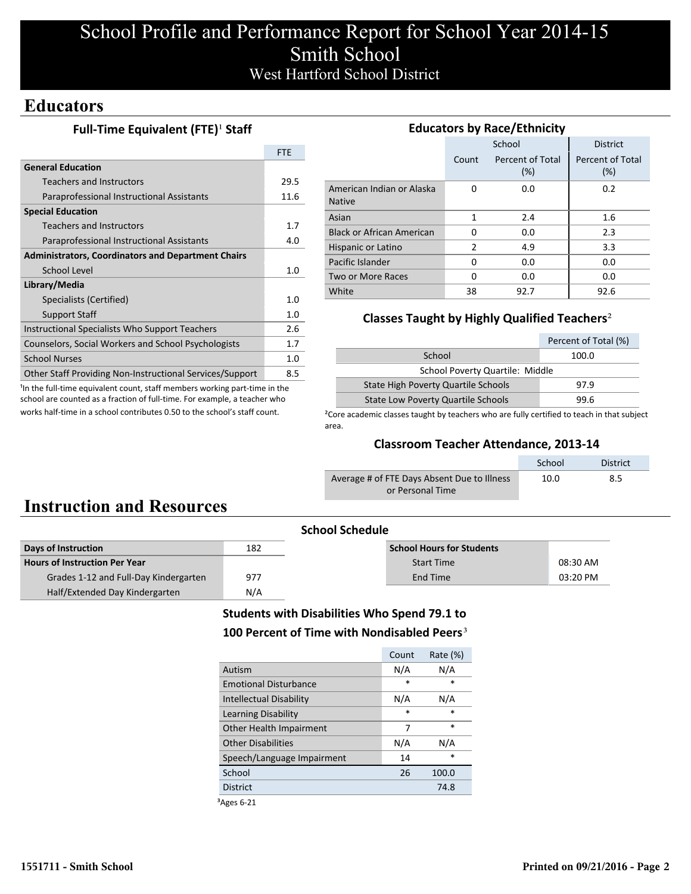## School Profile and Performance Report for School Year 2014-15 Smith School West Hartford School District

## **Educators**

### **Full-Time Equivalent (FTE)<sup>1</sup> Staff**

|                                                           | <b>FTF</b> |  |
|-----------------------------------------------------------|------------|--|
| <b>General Education</b>                                  |            |  |
| <b>Teachers and Instructors</b>                           | 29.5       |  |
| Paraprofessional Instructional Assistants                 | 11.6       |  |
| <b>Special Education</b>                                  |            |  |
| <b>Teachers and Instructors</b>                           | 1.7        |  |
| Paraprofessional Instructional Assistants                 | 4.0        |  |
| <b>Administrators, Coordinators and Department Chairs</b> |            |  |
| School Level                                              | 1.0        |  |
| Library/Media                                             |            |  |
| Specialists (Certified)                                   | 1.0        |  |
| <b>Support Staff</b>                                      | 1.0        |  |
| Instructional Specialists Who Support Teachers            | 2.6        |  |
| Counselors, Social Workers and School Psychologists       | 1.7        |  |
| <b>School Nurses</b>                                      | 1.0        |  |
| Other Staff Providing Non-Instructional Services/Support  | 8.5        |  |
|                                                           |            |  |

<sup>1</sup>In the full-time equivalent count, staff members working part-time in the school are counted as a fraction of full-time. For example, a teacher who works half-time in a school contributes 0.50 to the school's staff count.

| <b>Educators by Race/Ethnicity</b>         |       |                         |                         |  |  |  |
|--------------------------------------------|-------|-------------------------|-------------------------|--|--|--|
|                                            |       | School                  | <b>District</b>         |  |  |  |
|                                            | Count | Percent of Total<br>(%) | Percent of Total<br>(%) |  |  |  |
| American Indian or Alaska<br><b>Native</b> | 0     | 0.0                     | 0.2                     |  |  |  |
| Asian                                      | 1     | 2.4                     | 1.6                     |  |  |  |
| <b>Black or African American</b>           | 0     | 0.0                     | 2.3                     |  |  |  |
| Hispanic or Latino                         | 2     | 4.9                     | 3.3                     |  |  |  |
| Pacific Islander                           | 0     | 0.0                     | 0.0                     |  |  |  |
| Two or More Races                          | 0     | 0.0                     | 0.0                     |  |  |  |
| White                                      | 38    | 92.7                    | 92.6                    |  |  |  |

### **Classes Taught by Highly Qualified Teachers**²

|                                           | Percent of Total (%) |  |  |  |
|-------------------------------------------|----------------------|--|--|--|
| School<br>100.0                           |                      |  |  |  |
| School Poverty Quartile: Middle           |                      |  |  |  |
| State High Poverty Quartile Schools       | 97.9                 |  |  |  |
| <b>State Low Poverty Quartile Schools</b> | 99 R                 |  |  |  |

<sup>2</sup>Core academic classes taught by teachers who are fully certified to teach in that subject area.

#### **Classroom Teacher Attendance, 2013-14**

|                                             | School | <b>District</b> |
|---------------------------------------------|--------|-----------------|
| Average # of FTE Days Absent Due to Illness | 10.0   | 8.5             |
| or Personal Time                            |        |                 |

# **Instruction and Resources**

| <b>School Schedule</b>                |     |                                  |            |  |
|---------------------------------------|-----|----------------------------------|------------|--|
| Days of Instruction                   | 182 | <b>School Hours for Students</b> |            |  |
| <b>Hours of Instruction Per Year</b>  |     | <b>Start Time</b>                | 08:30 AM   |  |
| Grades 1-12 and Full-Day Kindergarten | 977 | End Time                         | $03:20$ PM |  |
| Half/Extended Day Kindergarten        | N/A |                                  |            |  |

## **Students with Disabilities Who Spend 79.1 to** 100 Percent of Time with Nondisabled Peers<sup>3</sup>

|                              | Count  | Rate (%) |
|------------------------------|--------|----------|
| Autism                       | N/A    | N/A      |
| <b>Emotional Disturbance</b> | *      | *        |
| Intellectual Disability      | N/A    | N/A      |
| Learning Disability          | $\ast$ | $\ast$   |
| Other Health Impairment      | 7      | $\ast$   |
| <b>Other Disabilities</b>    | N/A    | N/A      |
| Speech/Language Impairment   | 14     | *        |
| School                       | 26     | 100.0    |
| <b>District</b>              |        | 74.8     |
|                              |        |          |

³Ages 6-21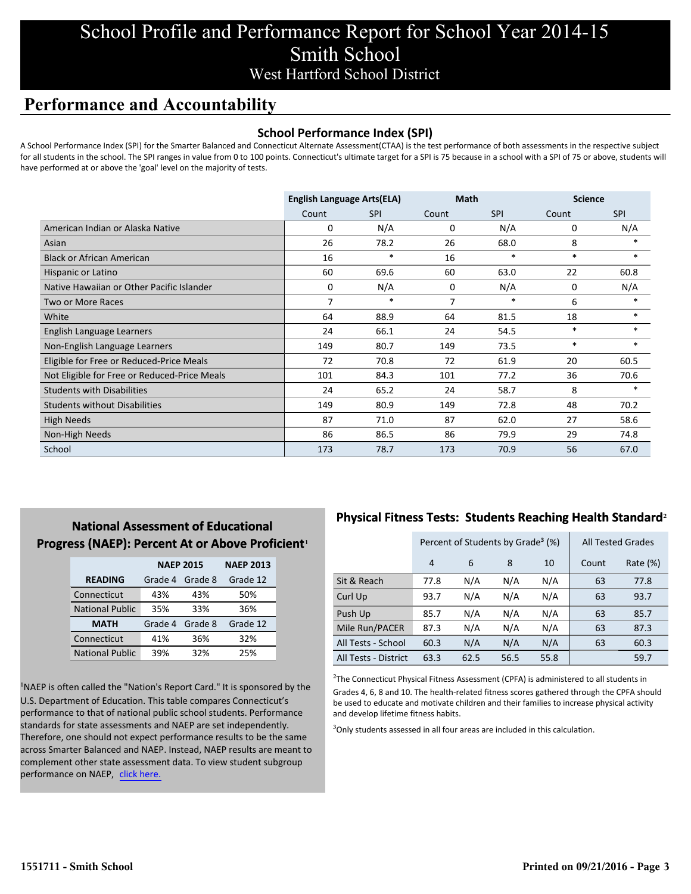## School Profile and Performance Report for School Year 2014-15 Smith School West Hartford School District

## **Performance and Accountability**

### **School Performance Index (SPI)**

A School Performance Index (SPI) for the Smarter Balanced and Connecticut Alternate Assessment(CTAA) is the test performance of both assessments in the respective subject for all students in the school. The SPI ranges in value from 0 to 100 points. Connecticut's ultimate target for a SPI is 75 because in a school with a SPI of 75 or above, students will have performed at or above the 'goal' level on the majority of tests.

|                                              | <b>English Language Arts(ELA)</b> |            | <b>Math</b> |            | <b>Science</b> |            |
|----------------------------------------------|-----------------------------------|------------|-------------|------------|----------------|------------|
|                                              | Count                             | <b>SPI</b> | Count       | <b>SPI</b> | Count          | <b>SPI</b> |
| American Indian or Alaska Native             | 0                                 | N/A        | 0           | N/A        | 0              | N/A        |
| Asian                                        | 26                                | 78.2       | 26          | 68.0       | 8              | $\ast$     |
| <b>Black or African American</b>             | 16                                | $\ast$     | 16          | $\ast$     | $\ast$         | $\ast$     |
| Hispanic or Latino                           | 60                                | 69.6       | 60          | 63.0       | 22             | 60.8       |
| Native Hawaiian or Other Pacific Islander    | 0                                 | N/A        | 0           | N/A        | 0              | N/A        |
| Two or More Races                            | 7                                 | $\ast$     | 7           | $\ast$     | 6              | *          |
| White                                        | 64                                | 88.9       | 64          | 81.5       | 18             | $*$        |
| English Language Learners                    | 24                                | 66.1       | 24          | 54.5       | $\ast$         | $\ast$     |
| Non-English Language Learners                | 149                               | 80.7       | 149         | 73.5       | $\ast$         | $\ast$     |
| Eligible for Free or Reduced-Price Meals     | 72                                | 70.8       | 72          | 61.9       | 20             | 60.5       |
| Not Eligible for Free or Reduced-Price Meals | 101                               | 84.3       | 101         | 77.2       | 36             | 70.6       |
| <b>Students with Disabilities</b>            | 24                                | 65.2       | 24          | 58.7       | 8              |            |
| <b>Students without Disabilities</b>         | 149                               | 80.9       | 149         | 72.8       | 48             | 70.2       |
| <b>High Needs</b>                            | 87                                | 71.0       | 87          | 62.0       | 27             | 58.6       |
| Non-High Needs                               | 86                                | 86.5       | 86          | 79.9       | 29             | 74.8       |
| School                                       | 173                               | 78.7       | 173         | 70.9       | 56             | 67.0       |

## **National Assessment of Educational Progress (NAEP): Percent At or Above Proficient1**

|                        | <b>NAEP 2015</b> | <b>NAEP 2013</b> |          |
|------------------------|------------------|------------------|----------|
| <b>READING</b>         | Grade 4          | Grade 8          | Grade 12 |
| Connecticut            | 43%              | 43%              | 50%      |
| <b>National Public</b> | 35%              | 33%              | 36%      |
| <b>MATH</b>            | Grade 4          | Grade 8          | Grade 12 |
| Connecticut            | 41%              | 36%              | 32%      |
| <b>National Public</b> | 39%              | 32%              | 25%      |

<sup>1</sup>NAEP is often called the "Nation's Report Card." It is sponsored by the U.S. Department of Education. This table compares Connecticut's performance to that of national public school students. Performance standards for state assessments and NAEP are set independently. Therefore, one should not expect performance results to be the same across Smarter Balanced and NAEP. Instead, NAEP results are meant to complement other state assessment data. To view student subgroup performance on NAEP, click here.

## **Physical Fitness Tests: Students Reaching Health Standard**²

|                      | Percent of Students by Grade <sup>3</sup> (%) |      |      |      | <b>All Tested Grades</b> |             |
|----------------------|-----------------------------------------------|------|------|------|--------------------------|-------------|
|                      | 4                                             | 6    | 8    | 10   | Count                    | Rate $(\%)$ |
| Sit & Reach          | 77.8                                          | N/A  | N/A  | N/A  | 63                       | 77.8        |
| Curl Up              | 93.7                                          | N/A  | N/A  | N/A  | 63                       | 93.7        |
| Push Up              | 85.7                                          | N/A  | N/A  | N/A  | 63                       | 85.7        |
| Mile Run/PACER       | 87.3                                          | N/A  | N/A  | N/A  | 63                       | 87.3        |
| All Tests - School   | 60.3                                          | N/A  | N/A  | N/A  | 63                       | 60.3        |
| All Tests - District | 63.3                                          | 62.5 | 56.5 | 55.8 |                          | 59.7        |

 $2$ The Connecticut Physical Fitness Assessment (CPFA) is administered to all students in Grades 4, 6, 8 and 10. The health-related fitness scores gathered through the CPFA should be used to educate and motivate children and their families to increase physical activity and develop lifetime fitness habits.

<sup>3</sup>Only students assessed in all four areas are included in this calculation.